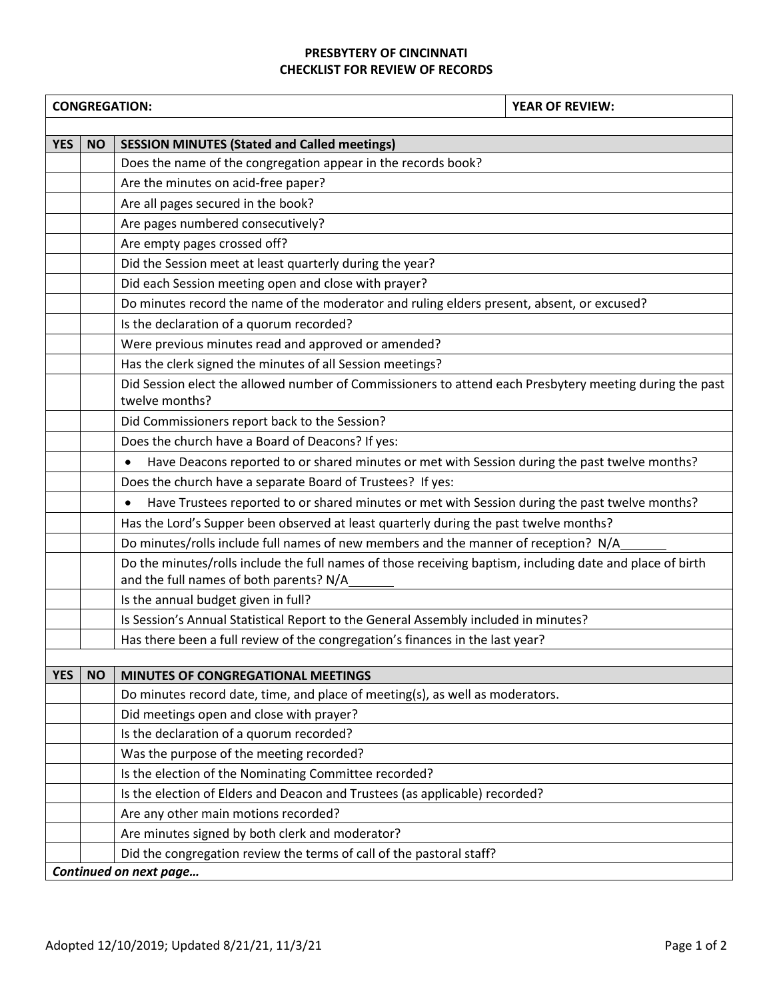## **PRESBYTERY OF CINCINNATI CHECKLIST FOR REVIEW OF RECORDS**

|            |                        | <b>CONGREGATION:</b><br><b>YEAR OF REVIEW:</b>                                                                                                       |  |  |  |
|------------|------------------------|------------------------------------------------------------------------------------------------------------------------------------------------------|--|--|--|
|            |                        |                                                                                                                                                      |  |  |  |
| <b>YES</b> | <b>NO</b>              | <b>SESSION MINUTES (Stated and Called meetings)</b>                                                                                                  |  |  |  |
|            |                        | Does the name of the congregation appear in the records book?                                                                                        |  |  |  |
|            |                        | Are the minutes on acid-free paper?                                                                                                                  |  |  |  |
|            |                        | Are all pages secured in the book?                                                                                                                   |  |  |  |
|            |                        | Are pages numbered consecutively?                                                                                                                    |  |  |  |
|            |                        | Are empty pages crossed off?                                                                                                                         |  |  |  |
|            |                        | Did the Session meet at least quarterly during the year?                                                                                             |  |  |  |
|            |                        | Did each Session meeting open and close with prayer?                                                                                                 |  |  |  |
|            |                        | Do minutes record the name of the moderator and ruling elders present, absent, or excused?                                                           |  |  |  |
|            |                        | Is the declaration of a quorum recorded?                                                                                                             |  |  |  |
|            |                        | Were previous minutes read and approved or amended?                                                                                                  |  |  |  |
|            |                        | Has the clerk signed the minutes of all Session meetings?                                                                                            |  |  |  |
|            |                        | Did Session elect the allowed number of Commissioners to attend each Presbytery meeting during the past<br>twelve months?                            |  |  |  |
|            |                        | Did Commissioners report back to the Session?                                                                                                        |  |  |  |
|            |                        | Does the church have a Board of Deacons? If yes:                                                                                                     |  |  |  |
|            |                        | Have Deacons reported to or shared minutes or met with Session during the past twelve months?<br>$\bullet$                                           |  |  |  |
|            |                        | Does the church have a separate Board of Trustees? If yes:                                                                                           |  |  |  |
|            |                        | Have Trustees reported to or shared minutes or met with Session during the past twelve months?                                                       |  |  |  |
|            |                        | Has the Lord's Supper been observed at least quarterly during the past twelve months?                                                                |  |  |  |
|            |                        | Do minutes/rolls include full names of new members and the manner of reception? N/A                                                                  |  |  |  |
|            |                        | Do the minutes/rolls include the full names of those receiving baptism, including date and place of birth<br>and the full names of both parents? N/A |  |  |  |
|            |                        | Is the annual budget given in full?                                                                                                                  |  |  |  |
|            |                        | Is Session's Annual Statistical Report to the General Assembly included in minutes?                                                                  |  |  |  |
|            |                        | Has there been a full review of the congregation's finances in the last year?                                                                        |  |  |  |
|            |                        |                                                                                                                                                      |  |  |  |
| <b>YES</b> | <b>NO</b>              | <b>MINUTES OF CONGREGATIONAL MEETINGS</b>                                                                                                            |  |  |  |
|            |                        | Do minutes record date, time, and place of meeting(s), as well as moderators.                                                                        |  |  |  |
|            |                        | Did meetings open and close with prayer?                                                                                                             |  |  |  |
|            |                        | Is the declaration of a quorum recorded?                                                                                                             |  |  |  |
|            |                        | Was the purpose of the meeting recorded?                                                                                                             |  |  |  |
|            |                        | Is the election of the Nominating Committee recorded?                                                                                                |  |  |  |
|            |                        | Is the election of Elders and Deacon and Trustees (as applicable) recorded?                                                                          |  |  |  |
|            |                        | Are any other main motions recorded?                                                                                                                 |  |  |  |
|            |                        | Are minutes signed by both clerk and moderator?                                                                                                      |  |  |  |
|            |                        | Did the congregation review the terms of call of the pastoral staff?                                                                                 |  |  |  |
|            | Continued on next page |                                                                                                                                                      |  |  |  |